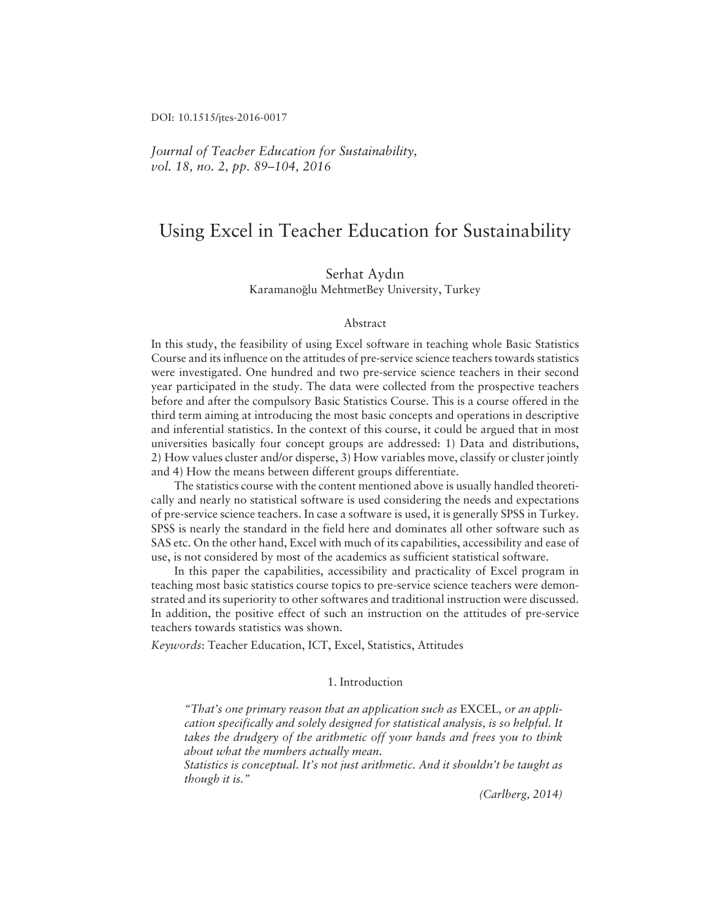DOI: 10.1515/jtes-2016-0017

*Journal of Teacher Education for Sustainability, vol.* 18, no. 2, pp. 89–104, 2016

# Using Excel in Teacher Education for Sustainability

# Serhat Aydin Karamanog<sup>∪</sup> lu MehtmetBey University, Turkey

### Abstract

In this study, the feasibility of using Excel software in teaching whole Basic Statistics Course and its influence on the attitudes of pre-service science teachers towards statistics were investigated. One hundred and two pre-service science teachers in their second year participated in the study. The data were collected from the prospective teachers before and after the compulsory Basic Statistics Course. This is a course offered in the third term aiming at introducing the most basic concepts and operations in descriptive and inferential statistics. In the context of this course, it could be argued that in most universities basically four concept groups are addressed: 1) Data and distributions, 2) How values cluster and/or disperse, 3) How variables move, classify or cluster jointly and 4) How the means between different groups differentiate.

The statistics course with the content mentioned above is usually handled theoretically and nearly no statistical software is used considering the needs and expectations of pre-service science teachers. In case a software is used, it is generally SPSS in Turkey. SPSS is nearly the standard in the field here and dominates all other software such as SAS etc. On the other hand, Excel with much of its capabilities, accessibility and ease of use, is not considered by most of the academics as sufficient statistical software.

In this paper the capabilities, accessibility and practicality of Excel program in teaching most basic statistics course topics to pre-service science teachers were demonstrated and its superiority to other softwares and traditional instruction were discussed. In addition, the positive effect of such an instruction on the attitudes of pre-service teachers towards statistics was shown.

*Keywords*: Teacher Education, ICT, Excel, Statistics, Attitudes

## 1. Introduction

"That's one primary reason that an application such as EXCEL, or an appli*cation specifically and solely designed for statistical analysis, is so helpful. It takes the drudgery of the arithmetic off your hands and frees you to think about what the numbers actually mean.*

Statistics is conceptual. It's not just arithmetic. And it shouldn't be taught as *though it is.*"

*(Carlberg, 2014)*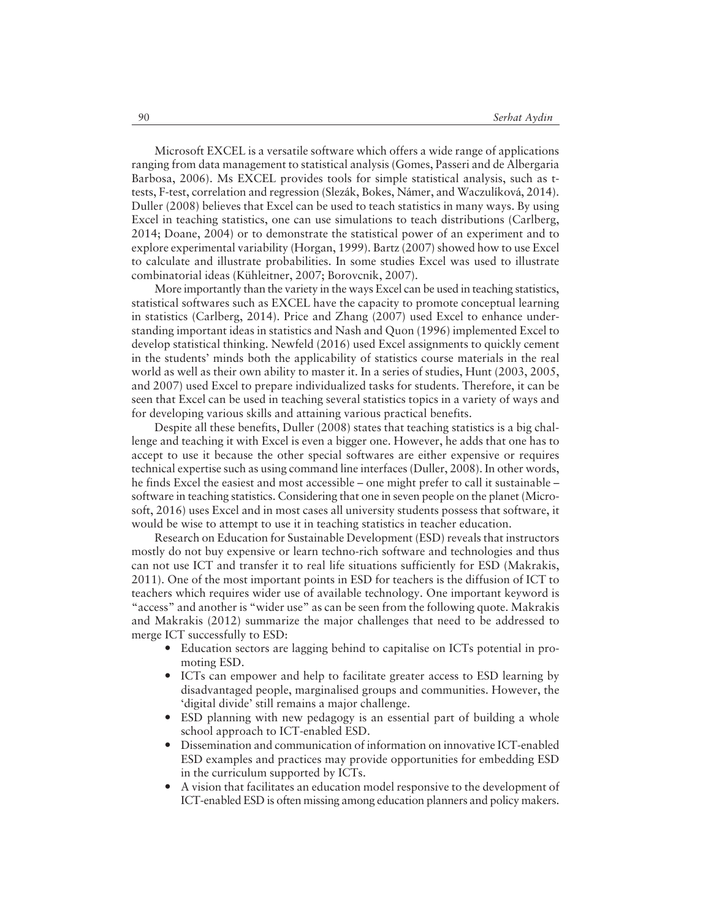Microsoft EXCEL is a versatile software which offers a wide range of applications ranging from data management to statistical analysis (Gomes, Passeri and de Albergaria Barbosa, 2006). Ms EXCEL provides tools for simple statistical analysis, such as ttests, F-test, correlation and regression (Slezák, Bokes, Námer, and Waczulíková, 2014). Duller (2008) believes that Excel can be used to teach statistics in many ways. By using Excel in teaching statistics, one can use simulations to teach distributions (Carlberg, 2014; Doane, 2004) or to demonstrate the statistical power of an experiment and to explore experimental variability (Horgan, 1999). Bartz (2007) showed how to use Excel to calculate and illustrate probabilities. In some studies Excel was used to illustrate combinatorial ideas (Kühleitner, 2007; Borovcnik, 2007).

More importantly than the variety in the ways Excel can be used in teaching statistics, statistical softwares such as EXCEL have the capacity to promote conceptual learning in statistics (Carlberg, 2014). Price and Zhang (2007) used Excel to enhance understanding important ideas in statistics and Nash and Quon (1996) implemented Excel to develop statistical thinking. Newfeld (2016) used Excel assignments to quickly cement in the studentsí minds both the applicability of statistics course materials in the real world as well as their own ability to master it. In a series of studies, Hunt (2003, 2005, and 2007) used Excel to prepare individualized tasks for students. Therefore, it can be seen that Excel can be used in teaching several statistics topics in a variety of ways and for developing various skills and attaining various practical benefits.

Despite all these benefits, Duller (2008) states that teaching statistics is a big challenge and teaching it with Excel is even a bigger one. However, he adds that one has to accept to use it because the other special softwares are either expensive or requires technical expertise such as using command line interfaces (Duller, 2008). In other words, he finds Excel the easiest and most accessible  $-$  one might prefer to call it sustainable  $$ software in teaching statistics. Considering that one in seven people on the planet (Microsoft, 2016) uses Excel and in most cases all university students possess that software, it would be wise to attempt to use it in teaching statistics in teacher education.

Research on Education for Sustainable Development (ESD) reveals that instructors mostly do not buy expensive or learn techno-rich software and technologies and thus can not use ICT and transfer it to real life situations sufficiently for ESD (Makrakis, 2011). One of the most important points in ESD for teachers is the diffusion of ICT to teachers which requires wider use of available technology. One important keyword is "access" and another is "wider use" as can be seen from the following quote. Makrakis and Makrakis (2012) summarize the major challenges that need to be addressed to merge ICT successfully to ESD:

- y Education sectors are lagging behind to capitalise on ICTs potential in promoting ESD.
- ICTs can empower and help to facilitate greater access to ESD learning by disadvantaged people, marginalised groups and communities. However, the 'digital divide' still remains a major challenge.
- ESD planning with new pedagogy is an essential part of building a whole school approach to ICT-enabled ESD.
- Dissemination and communication of information on innovative ICT-enabled ESD examples and practices may provide opportunities for embedding ESD in the curriculum supported by ICTs.
- y A vision that facilitates an education model responsive to the development of ICT-enabled ESD is often missing among education planners and policy makers.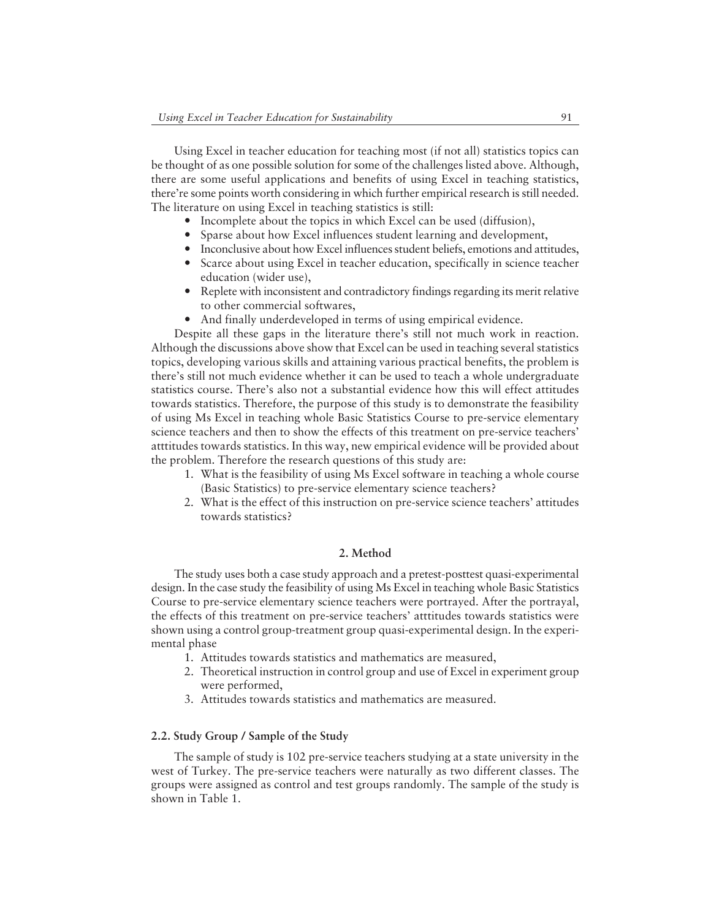Using Excel in teacher education for teaching most (if not all) statistics topics can be thought of as one possible solution for some of the challenges listed above. Although, there are some useful applications and benefits of using Excel in teaching statistics, there're some points worth considering in which further empirical research is still needed. The literature on using Excel in teaching statistics is still:

- Incomplete about the topics in which Excel can be used (diffusion),
- Sparse about how Excel influences student learning and development,
- y Inconclusive about how Excel influences student beliefs, emotions and attitudes,
- Scarce about using Excel in teacher education, specifically in science teacher education (wider use),
- Replete with inconsistent and contradictory findings regarding its merit relative to other commercial softwares,
- And finally underdeveloped in terms of using empirical evidence.

Despite all these gaps in the literature there's still not much work in reaction. Although the discussions above show that Excel can be used in teaching several statistics topics, developing various skills and attaining various practical benefits, the problem is there's still not much evidence whether it can be used to teach a whole undergraduate statistics course. There's also not a substantial evidence how this will effect attitudes towards statistics. Therefore, the purpose of this study is to demonstrate the feasibility of using Ms Excel in teaching whole Basic Statistics Course to pre-service elementary science teachers and then to show the effects of this treatment on pre-service teachers' atttitudes towards statistics. In this way, new empirical evidence will be provided about the problem. Therefore the research questions of this study are:

- 1. What is the feasibility of using Ms Excel software in teaching a whole course (Basic Statistics) to pre-service elementary science teachers?
- 2. What is the effect of this instruction on pre-service science teachers' attitudes towards statistics?

## **2. Method**

The study uses both a case study approach and a pretest-posttest quasi-experimental design. In the case study the feasibility of using Ms Excel in teaching whole Basic Statistics Course to pre-service elementary science teachers were portrayed. After the portrayal, the effects of this treatment on pre-service teachers' atttitudes towards statistics were shown using a control group-treatment group quasi-experimental design. In the experimental phase

- 1. Attitudes towards statistics and mathematics are measured,
- 2. Theoretical instruction in control group and use of Excel in experiment group were performed,
- 3. Attitudes towards statistics and mathematics are measured.

## **2.2. Study Group / Sample of the Study**

The sample of study is 102 pre-service teachers studying at a state university in the west of Turkey. The pre-service teachers were naturally as two different classes. The groups were assigned as control and test groups randomly. The sample of the study is shown in Table 1.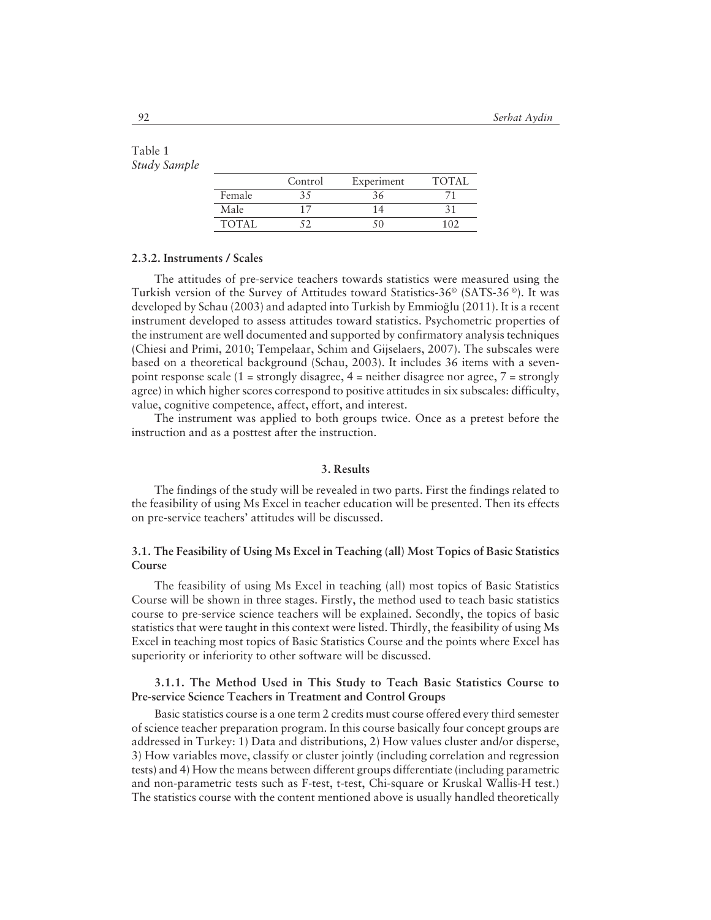#### Table 1 *Study Sample*

|              | Control | Experiment | <b>TOTAL</b> |
|--------------|---------|------------|--------------|
| Female       |         |            |              |
| Male         |         |            |              |
| <b>TOTAL</b> |         |            |              |

#### **2.3.2. Instruments / Scales**

The attitudes of pre-service teachers towards statistics were measured using the Turkish version of the Survey of Attitudes toward Statistics-36© (SATS-36 ©). It was developed by Schau (2003) and adapted into Turkish by Emmioğlu (2011). It is a recent instrument developed to assess attitudes toward statistics. Psychometric properties of the instrument are well documented and supported by confirmatory analysis techniques (Chiesi and Primi, 2010; Tempelaar, Schim and Gijselaers, 2007). The subscales were based on a theoretical background (Schau, 2003). It includes 36 items with a sevenpoint response scale (1 = strongly disagree, 4 = neither disagree nor agree,  $7$  = strongly agree) in which higher scores correspond to positive attitudes in six subscales: difficulty, value, cognitive competence, affect, effort, and interest.

The instrument was applied to both groups twice. Once as a pretest before the instruction and as a posttest after the instruction.

#### **3. Results**

The findings of the study will be revealed in two parts. First the findings related to the feasibility of using Ms Excel in teacher education will be presented. Then its effects on pre-service teachers' attitudes will be discussed.

# **3.1. The Feasibility of Using Ms Excel in Teaching (all) Most Topics of Basic Statistics Course**

The feasibility of using Ms Excel in teaching (all) most topics of Basic Statistics Course will be shown in three stages. Firstly, the method used to teach basic statistics course to pre-service science teachers will be explained. Secondly, the topics of basic statistics that were taught in this context were listed. Thirdly, the feasibility of using Ms Excel in teaching most topics of Basic Statistics Course and the points where Excel has superiority or inferiority to other software will be discussed.

## **3.1.1. The Method Used in This Study to Teach Basic Statistics Course to Pre-service Science Teachers in Treatment and Control Groups**

Basic statistics course is a one term 2 credits must course offered every third semester of science teacher preparation program. In this course basically four concept groups are addressed in Turkey: 1) Data and distributions, 2) How values cluster and/or disperse, 3) How variables move, classify or cluster jointly (including correlation and regression tests) and 4) How the means between different groups differentiate (including parametric and non-parametric tests such as F-test, t-test, Chi-square or Kruskal Wallis-H test.) The statistics course with the content mentioned above is usually handled theoretically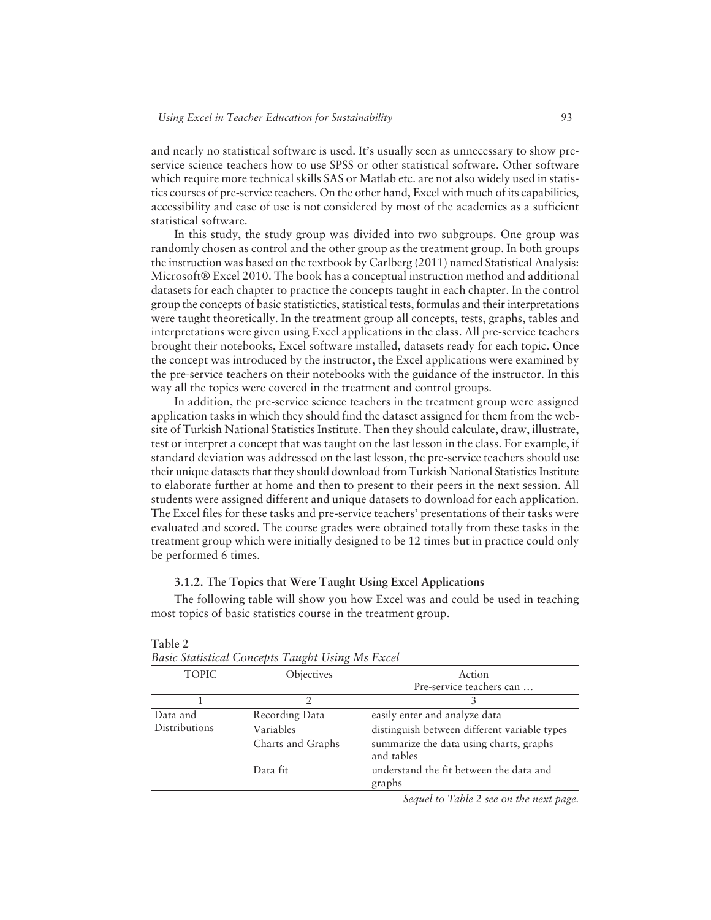and nearly no statistical software is used. It's usually seen as unnecessary to show preservice science teachers how to use SPSS or other statistical software. Other software which require more technical skills SAS or Matlab etc. are not also widely used in statistics courses of pre-service teachers. On the other hand, Excel with much of its capabilities, accessibility and ease of use is not considered by most of the academics as a sufficient statistical software*.*

In this study, the study group was divided into two subgroups. One group was randomly chosen as control and the other group as the treatment group. In both groups the instruction was based on the textbook by Carlberg (2011) named Statistical Analysis: MicrosoftÆ Excel 2010. The book has a conceptual instruction method and additional datasets for each chapter to practice the concepts taught in each chapter. In the control group the concepts of basic statistictics, statistical tests, formulas and their interpretations were taught theoretically. In the treatment group all concepts, tests, graphs, tables and interpretations were given using Excel applications in the class. All pre-service teachers brought their notebooks, Excel software installed, datasets ready for each topic. Once the concept was introduced by the instructor, the Excel applications were examined by the pre-service teachers on their notebooks with the guidance of the instructor. In this way all the topics were covered in the treatment and control groups.

In addition, the pre-service science teachers in the treatment group were assigned application tasks in which they should find the dataset assigned for them from the website of Turkish National Statistics Institute. Then they should calculate, draw, illustrate, test or interpret a concept that was taught on the last lesson in the class. For example, if standard deviation was addressed on the last lesson, the pre-service teachers should use their unique datasets that they should download from Turkish National Statistics Institute to elaborate further at home and then to present to their peers in the next session. All students were assigned different and unique datasets to download for each application. The Excel files for these tasks and pre-service teachers' presentations of their tasks were evaluated and scored. The course grades were obtained totally from these tasks in the treatment group which were initially designed to be 12 times but in practice could only be performed 6 times.

## **3.1.2. The Topics that Were Taught Using Excel Applications**

The following table will show you how Excel was and could be used in teaching most topics of basic statistics course in the treatment group.

| Dasic Statistical Concepts Tangut Osing ins Excel |                                                       |
|---------------------------------------------------|-------------------------------------------------------|
| Objectives                                        | Action                                                |
|                                                   | Pre-service teachers can                              |
| 2                                                 |                                                       |
| Recording Data                                    | easily enter and analyze data                         |
| Variables                                         | distinguish between different variable types          |
| Charts and Graphs                                 | summarize the data using charts, graphs<br>and tables |
| Data fit                                          | understand the fit between the data and<br>graphs     |
|                                                   |                                                       |

#### Table 2

*Basic Statistical Concepts Taught Using Ms Excel*

*Sequel to Table 2 see on the next page.*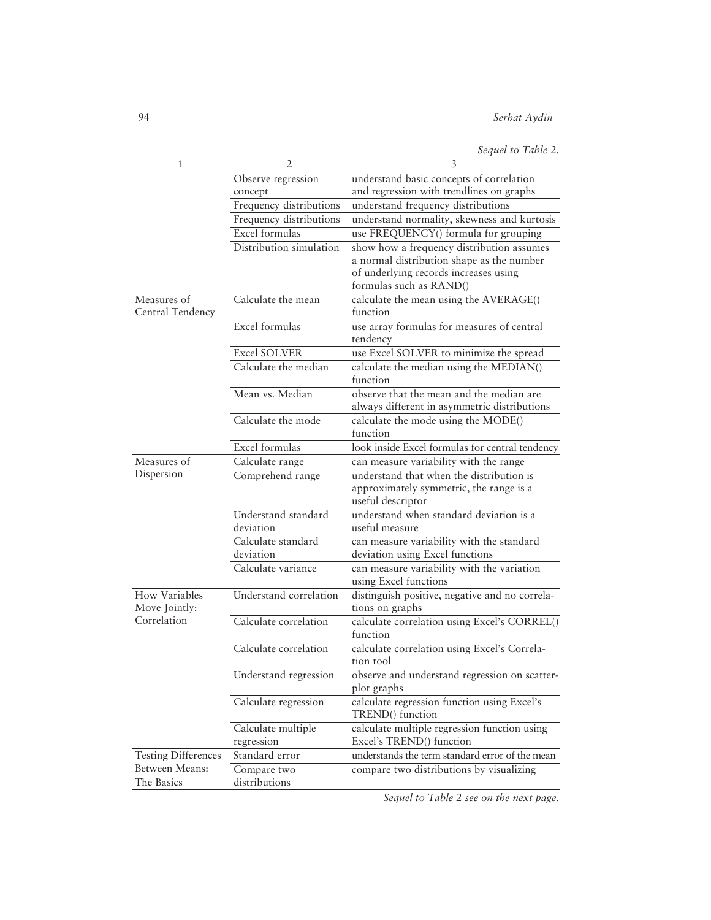|                            |                         | Sequel to Table 2.                                               |
|----------------------------|-------------------------|------------------------------------------------------------------|
| 1                          | 2                       | 3                                                                |
|                            | Observe regression      | understand basic concepts of correlation                         |
|                            | concept                 | and regression with trendlines on graphs                         |
|                            | Frequency distributions | understand frequency distributions                               |
|                            | Frequency distributions | understand normality, skewness and kurtosis                      |
|                            | Excel formulas          | use FREQUENCY() formula for grouping                             |
|                            | Distribution simulation | show how a frequency distribution assumes                        |
|                            |                         | a normal distribution shape as the number                        |
|                            |                         | of underlying records increases using<br>formulas such as RAND() |
| Measures of                | Calculate the mean      | calculate the mean using the AVERAGE()                           |
| Central Tendency           |                         | function                                                         |
|                            | Excel formulas          | use array formulas for measures of central                       |
|                            |                         | tendency                                                         |
|                            | <b>Excel SOLVER</b>     | use Excel SOLVER to minimize the spread                          |
|                            | Calculate the median    | calculate the median using the MEDIAN()                          |
|                            |                         | function                                                         |
|                            | Mean vs. Median         | observe that the mean and the median are                         |
|                            |                         | always different in asymmetric distributions                     |
|                            | Calculate the mode      | calculate the mode using the MODE()                              |
|                            |                         | function                                                         |
|                            | Excel formulas          | look inside Excel formulas for central tendency                  |
| Measures of                | Calculate range         | can measure variability with the range                           |
| Dispersion                 | Comprehend range        | understand that when the distribution is                         |
|                            |                         | approximately symmetric, the range is a<br>useful descriptor     |
|                            | Understand standard     | understand when standard deviation is a                          |
|                            | deviation               | useful measure                                                   |
|                            | Calculate standard      | can measure variability with the standard                        |
|                            | deviation               | deviation using Excel functions                                  |
|                            | Calculate variance      | can measure variability with the variation                       |
|                            |                         | using Excel functions                                            |
| <b>How Variables</b>       | Understand correlation  | distinguish positive, negative and no correla-                   |
| Move Jointly:              |                         | tions on graphs                                                  |
| Correlation                | Calculate correlation   | calculate correlation using Excel's CORREL()                     |
|                            |                         | function                                                         |
|                            | Calculate correlation   | calculate correlation using Excel's Correla-                     |
|                            |                         | tion tool                                                        |
|                            | Understand regression   | observe and understand regression on scatter-<br>plot graphs     |
|                            | Calculate regression    | calculate regression function using Excel's                      |
|                            |                         | TREND() function                                                 |
|                            | Calculate multiple      | calculate multiple regression function using                     |
|                            | regression              | Excel's TREND() function                                         |
| <b>Testing Differences</b> | Standard error          | understands the term standard error of the mean                  |
| Between Means:             | Compare two             | compare two distributions by visualizing                         |
| The Basics                 | distributions           |                                                                  |

*Sequel to Table 2 see on the next page.*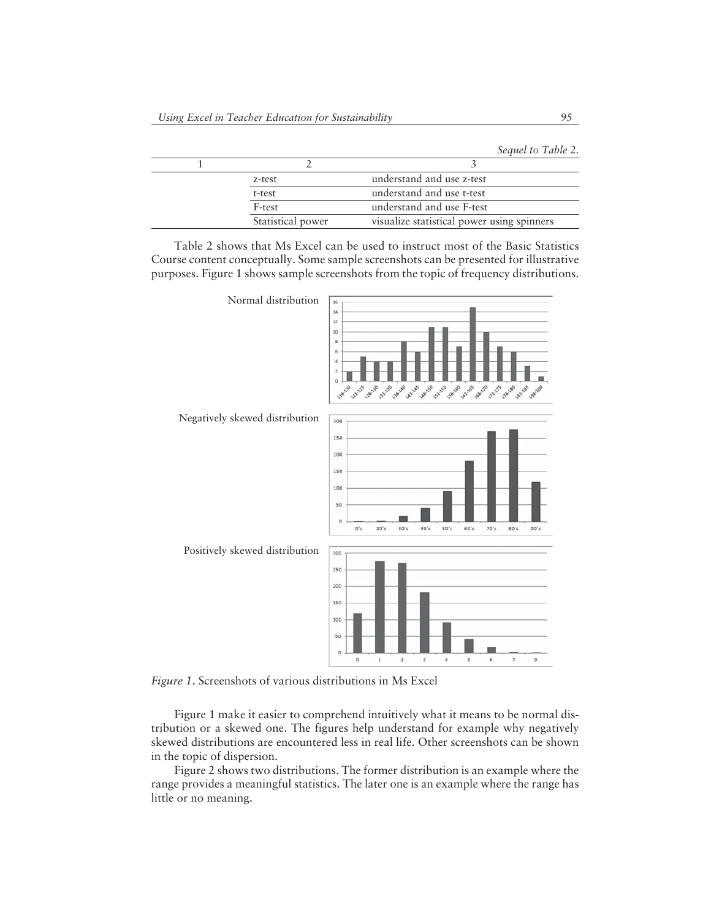|                   | Sequel to Table 2.                         |
|-------------------|--------------------------------------------|
|                   |                                            |
| z-test            | understand and use z-test                  |
| t-test            | understand and use t-test                  |
| F-test            | understand and use F-test                  |
| Statistical power | visualize statistical power using spinners |

Table 2 shows that Ms Excel can be used to instruct most of the Basic Statistics Course content conceptually. Some sample screenshots can be presented for illustrative purposes. Figure 1 shows sample screenshots from the topic of frequency distributions.



*Figure 1*. Screenshots of various distributions in Ms Excel

Figure 1 make it easier to comprehend intuitively what it means to be normal distribution or a skewed one. The figures help understand for example why negatively skewed distributions are encountered less in real life. Other screenshots can be shown in the topic of dispersion.

Figure 2 shows two distributions. The former distribution is an example where the range provides a meaningful statistics. The later one is an example where the range has little or no meaning.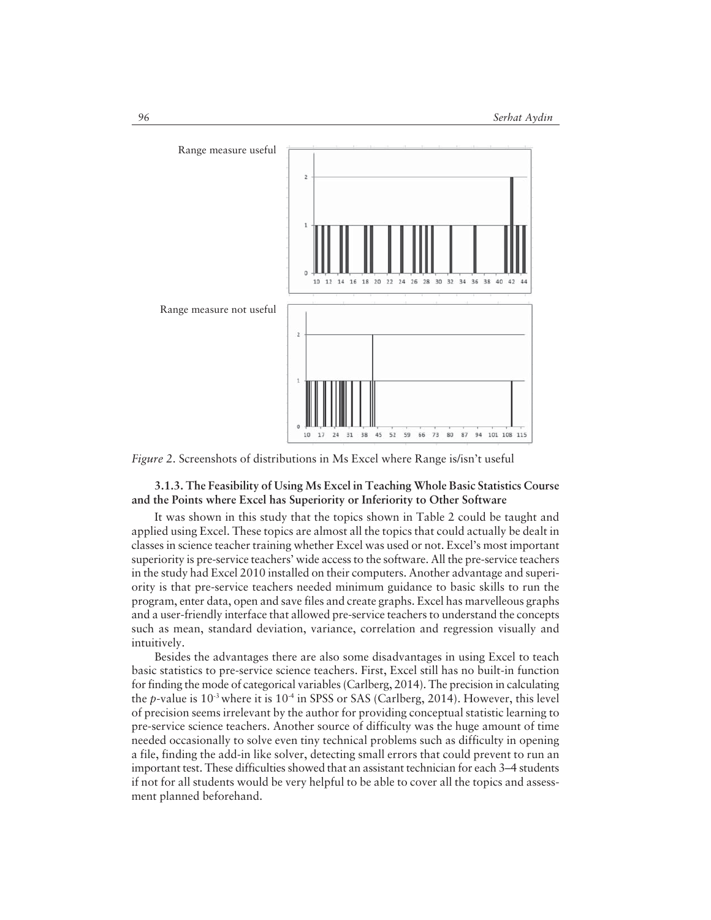

*Figure 2.* Screenshots of distributions in Ms Excel where Range is/isn't useful

# **3.1.3. The Feasibility of Using Ms Excel in Teaching Whole Basic Statistics Course and the Points where Excel has Superiority or Inferiority to Other Software**

It was shown in this study that the topics shown in Table 2 could be taught and applied using Excel. These topics are almost all the topics that could actually be dealt in classes in science teacher training whether Excel was used or not. Excelís most important superiority is pre-service teachers' wide access to the software. All the pre-service teachers in the study had Excel 2010 installed on their computers. Another advantage and superiority is that pre-service teachers needed minimum guidance to basic skills to run the program, enter data, open and save files and create graphs. Excel has marvelleous graphs and a user-friendly interface that allowed pre-service teachers to understand the concepts such as mean, standard deviation, variance, correlation and regression visually and intuitively.

Besides the advantages there are also some disadvantages in using Excel to teach basic statistics to pre-service science teachers. First, Excel still has no built-in function for finding the mode of categorical variables (Carlberg, 2014). The precision in calculating the *p*-value is  $10^{-3}$  where it is  $10^{-4}$  in SPSS or SAS (Carlberg, 2014). However, this level of precision seems irrelevant by the author for providing conceptual statistic learning to pre-service science teachers. Another source of difficulty was the huge amount of time needed occasionally to solve even tiny technical problems such as difficulty in opening a file, finding the add-in like solver, detecting small errors that could prevent to run an important test. These difficulties showed that an assistant technician for each 3–4 students if not for all students would be very helpful to be able to cover all the topics and assessment planned beforehand.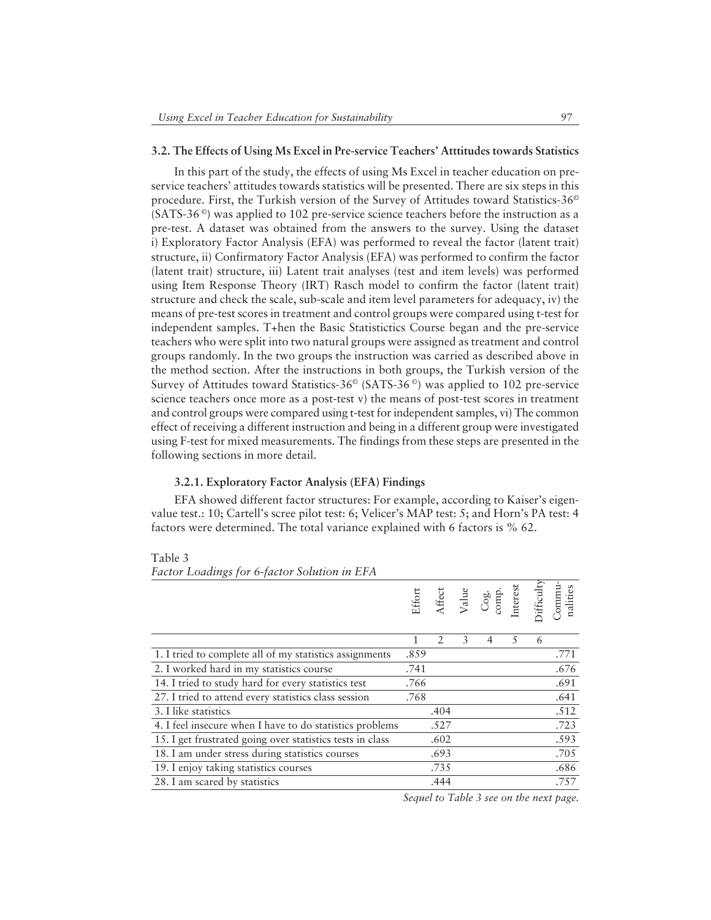#### **3.2. The Effects of Using Ms Excel in Pre-service Teachersí Atttitudes towards Statistics**

In this part of the study, the effects of using Ms Excel in teacher education on preservice teachers' attitudes towards statistics will be presented. There are six steps in this procedure. First, the Turkish version of the Survey of Attitudes toward Statistics-36©  $(SATS-36^\circ)$  was applied to 102 pre-service science teachers before the instruction as a pre-test. A dataset was obtained from the answers to the survey. Using the dataset i) Exploratory Factor Analysis (EFA) was performed to reveal the factor (latent trait) structure, ii) Confirmatory Factor Analysis (EFA) was performed to confirm the factor (latent trait) structure, iii) Latent trait analyses (test and item levels) was performed using Item Response Theory (IRT) Rasch model to confirm the factor (latent trait) structure and check the scale, sub-scale and item level parameters for adequacy, iv) the means of pre-test scores in treatment and control groups were compared using t-test for independent samples. T+hen the Basic Statistictics Course began and the pre-service teachers who were split into two natural groups were assigned as treatment and control groups randomly. In the two groups the instruction was carried as described above in the method section. After the instructions in both groups, the Turkish version of the Survey of Attitudes toward Statistics-36<sup>©</sup> (SATS-36<sup>©</sup>) was applied to 102 pre-service science teachers once more as a post-test v) the means of post-test scores in treatment and control groups were compared using t-test for independent samples, vi) The common effect of receiving a different instruction and being in a different group were investigated using F-test for mixed measurements. The findings from these steps are presented in the following sections in more detail.

## **3.2.1. Exploratory Factor Analysis (EFA) Findings**

EFA showed different factor structures: For example, according to Kaiser's eigenvalue test.: 10; Cartell's scree pilot test: 6; Velicer's MAP test: 5; and Horn's PA test: 4 factors were determined. The total variance explained with 6 factors is % 62.

Table 3

*Factor Loadings for 6-factor Solution in EFA*

|                                                           |      |      |   | Effort<br>Affect<br>Value<br>Cog.<br>Comp.<br>Interest<br>Interest<br>Commu- |   |   |      |
|-----------------------------------------------------------|------|------|---|------------------------------------------------------------------------------|---|---|------|
|                                                           | 1    | 2    | 3 | 4                                                                            | 5 | 6 |      |
| 1. I tried to complete all of my statistics assignments   | .859 |      |   |                                                                              |   |   | .771 |
| 2. I worked hard in my statistics course                  | .741 |      |   |                                                                              |   |   | .676 |
| 14. I tried to study hard for every statistics test       | .766 |      |   |                                                                              |   |   | .691 |
| 27. I tried to attend every statistics class session      | .768 |      |   |                                                                              |   |   | .641 |
| 3. I like statistics                                      |      | .404 |   |                                                                              |   |   | .512 |
| 4. I feel insecure when I have to do statistics problems  |      | .527 |   |                                                                              |   |   | .723 |
| 15. I get frustrated going over statistics tests in class |      | .602 |   |                                                                              |   |   | .593 |
| 18. I am under stress during statistics courses           |      | .693 |   |                                                                              |   |   | .705 |
| 19. I enjoy taking statistics courses                     |      | .735 |   |                                                                              |   |   | .686 |
| 28. I am scared by statistics                             |      | .444 |   |                                                                              |   |   | .757 |
|                                                           |      |      |   | Sequel to Table 3 see on the next page.                                      |   |   |      |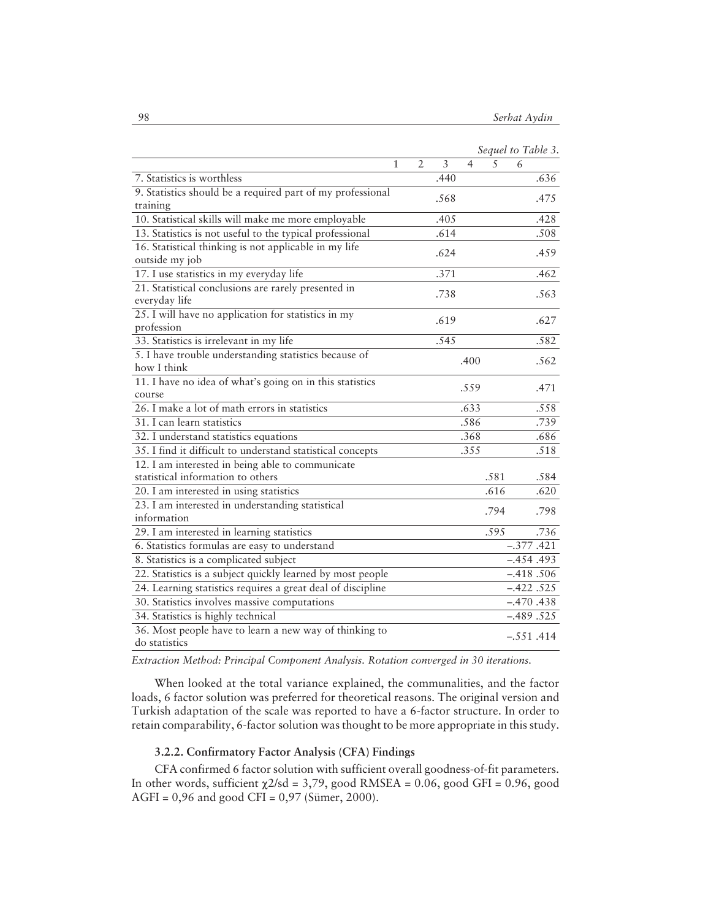|                                                                         |                     |                |                |      |   | Sequel to Table 3. |
|-------------------------------------------------------------------------|---------------------|----------------|----------------|------|---|--------------------|
|                                                                         | $\overline{2}$<br>1 | $\overline{3}$ | $\overline{4}$ | 5    | 6 |                    |
| 7. Statistics is worthless                                              |                     | .440           |                |      |   | .636               |
| 9. Statistics should be a required part of my professional              |                     | .568           |                |      |   | .475               |
| training                                                                |                     |                |                |      |   |                    |
| 10. Statistical skills will make me more employable                     |                     | .405           |                |      |   | .428               |
| 13. Statistics is not useful to the typical professional                |                     | .614           |                |      |   | .508               |
| 16. Statistical thinking is not applicable in my life                   |                     | .624           |                |      |   | .459               |
| outside my job                                                          |                     |                |                |      |   |                    |
| 17. I use statistics in my everyday life                                |                     | .371           |                |      |   | .462               |
| 21. Statistical conclusions are rarely presented in                     |                     | .738           |                |      |   | .563               |
| everyday life                                                           |                     |                |                |      |   |                    |
| 25. I will have no application for statistics in my                     |                     | .619           |                |      |   | .627               |
| profession                                                              |                     |                |                |      |   |                    |
| 33. Statistics is irrelevant in my life                                 |                     | .545           |                |      |   | .582               |
| 5. I have trouble understanding statistics because of                   |                     |                | .400           |      |   | .562               |
| how I think                                                             |                     |                |                |      |   |                    |
| 11. I have no idea of what's going on in this statistics                |                     |                | .559           |      |   | .471               |
| course                                                                  |                     |                |                |      |   |                    |
| 26. I make a lot of math errors in statistics                           |                     |                | .633           |      |   | .558               |
| 31. I can learn statistics                                              |                     |                | .586           |      |   | .739               |
| 32. I understand statistics equations                                   |                     |                | .368           |      |   | .686               |
| 35. I find it difficult to understand statistical concepts              |                     |                | .355           |      |   | .518               |
| 12. I am interested in being able to communicate                        |                     |                |                |      |   |                    |
| statistical information to others                                       |                     |                |                | .581 |   | .584               |
| 20. I am interested in using statistics                                 |                     |                |                | .616 |   | .620               |
| 23. I am interested in understanding statistical                        |                     |                |                | .794 |   | .798               |
| information                                                             |                     |                |                |      |   |                    |
| 29. I am interested in learning statistics                              |                     |                |                | .595 |   | .736               |
| 6. Statistics formulas are easy to understand                           |                     |                |                |      |   | $-.377.421$        |
| 8. Statistics is a complicated subject                                  |                     |                |                |      |   | $-.454.493$        |
| 22. Statistics is a subject quickly learned by most people              |                     |                |                |      |   | $-.418.506$        |
| 24. Learning statistics requires a great deal of discipline             |                     |                |                |      |   | $-.422.525$        |
| 30. Statistics involves massive computations                            |                     |                |                |      |   | $-.470.438$        |
| 34. Statistics is highly technical                                      |                     |                |                |      |   | $-.489.525$        |
| 36. Most people have to learn a new way of thinking to<br>do statistics |                     |                |                |      |   | $-.551.414$        |

*Extraction Method: Principal Component Analysis. Rotation converged in 30 iterations.*

When looked at the total variance explained, the communalities, and the factor loads, 6 factor solution was preferred for theoretical reasons. The original version and Turkish adaptation of the scale was reported to have a 6-factor structure. In order to retain comparability, 6-factor solution was thought to be more appropriate in this study.

## **3.2.2. Confirmatory Factor Analysis (CFA) Findings**

CFA confirmed 6 factor solution with sufficient overall goodness-of-fit parameters. In other words, sufficient  $\chi$ 2/sd = 3,79, good RMSEA = 0.06, good GFI = 0.96, good  $AGFI = 0,96$  and good CFI = 0,97 (Sümer, 2000).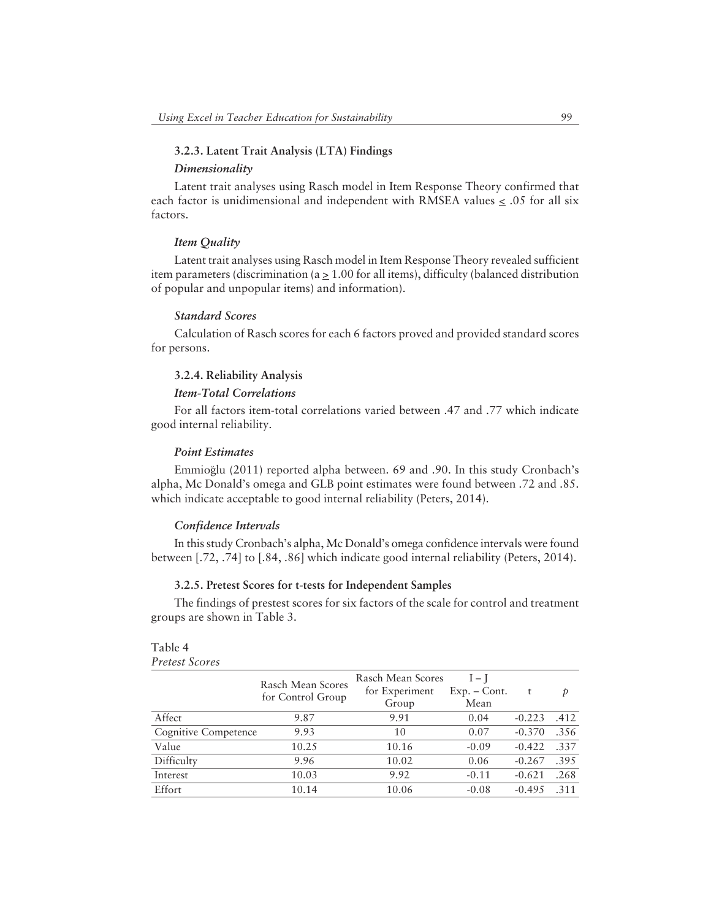## **3.2.3. Latent Trait Analysis (LTA) Findings**

### *Dimensionality*

Latent trait analyses using Rasch model in Item Response Theory confirmed that each factor is unidimensional and independent with RMSEA values  $\leq .05$  for all six factors.

# *Item Quality*

Latent trait analyses using Rasch model in Item Response Theory revealed sufficient item parameters (discrimination ( $a \ge 1.00$  for all items), difficulty (balanced distribution of popular and unpopular items) and information).

#### *Standard Scores*

Calculation of Rasch scores for each 6 factors proved and provided standard scores for persons.

#### **3.2.4. Reliability Analysis**

## *Item-Total Correlations*

For all factors item-total correlations varied between .47 and .77 which indicate good internal reliability.

## *Point Estimates*

Emmioğlu (2011) reported alpha between. 69 and .90. In this study Cronbach's alpha, Mc Donald's omega and GLB point estimates were found between .72 and .85. which indicate acceptable to good internal reliability (Peters, 2014).

## *Confidence Intervals*

In this study Cronbach's alpha, Mc Donald's omega confidence intervals were found between [.72, .74] to [.84, .86] which indicate good internal reliability (Peters, 2014).

#### **3.2.5. Pretest Scores for t-tests for Independent Samples**

The findings of prestest scores for six factors of the scale for control and treatment groups are shown in Table 3.

## Table 4

*Pretest Scores*

|                      | Rasch Mean Scores<br>for Control Group | Rasch Mean Scores<br>for Experiment<br>Group | $I - I$<br>$Exp. - Cont.$<br>Mean | t        | D    |
|----------------------|----------------------------------------|----------------------------------------------|-----------------------------------|----------|------|
| Affect               | 9.87                                   | 9.91                                         | 0.04                              | $-0.223$ | .412 |
| Cognitive Competence | 9.93                                   | 10                                           | 0.07                              | $-0.370$ | .356 |
| Value                | 10.25                                  | 10.16                                        | $-0.09$                           | $-0.422$ | .337 |
| Difficulty           | 9.96                                   | 10.02                                        | 0.06                              | $-0.267$ | .395 |
| Interest             | 10.03                                  | 9.92                                         | $-0.11$                           | $-0.621$ | .268 |
| Effort               | 10.14                                  | 10.06                                        | $-0.08$                           | $-0.495$ | .311 |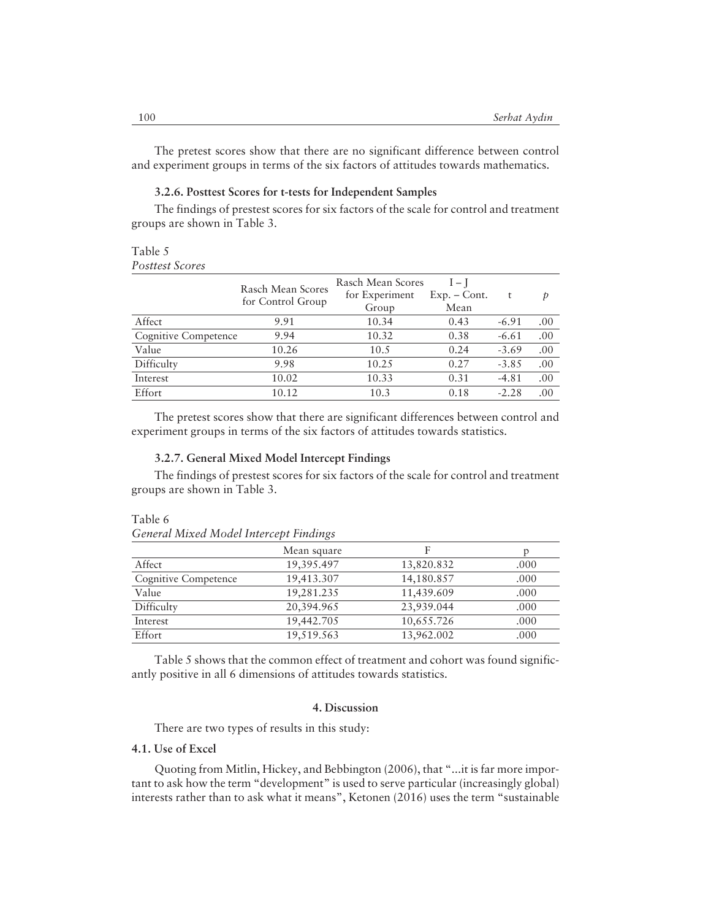The pretest scores show that there are no significant difference between control and experiment groups in terms of the six factors of attitudes towards mathematics.

## **3.2.6. Posttest Scores for t-tests for Independent Samples**

The findings of prestest scores for six factors of the scale for control and treatment groups are shown in Table 3.

Table 5 *Posttest Scores*

Table 6

|                      | Rasch Mean Scores<br>for Control Group | Rasch Mean Scores<br>for Experiment<br>Group | $1 - 1$<br>$Exp. - Cont.$<br>Mean | t       | Ð   |
|----------------------|----------------------------------------|----------------------------------------------|-----------------------------------|---------|-----|
| Affect               | 9.91                                   | 10.34                                        | 0.43                              | $-6.91$ | .00 |
| Cognitive Competence | 9.94                                   | 10.32                                        | 0.38                              | $-6.61$ | .00 |
| Value                | 10.26                                  | 10.5                                         | 0.24                              | $-3.69$ | .00 |
| Difficulty           | 9.98                                   | 10.25                                        | 0.27                              | $-3.85$ | .00 |
| Interest             | 10.02                                  | 10.33                                        | 0.31                              | $-4.81$ | .00 |
| Effort               | 10.12                                  | 10.3                                         | 0.18                              | $-2.28$ | .00 |

The pretest scores show that there are significant differences between control and experiment groups in terms of the six factors of attitudes towards statistics.

#### **3.2.7. General Mixed Model Intercept Findings**

The findings of prestest scores for six factors of the scale for control and treatment groups are shown in Table 3.

| General Mixed Model Intercept Finalngs |            |      |  |  |  |  |
|----------------------------------------|------------|------|--|--|--|--|
| Mean square                            | F          | n    |  |  |  |  |
| 19,395.497                             | 13,820.832 | .000 |  |  |  |  |
| 19,413.307                             | 14,180.857 | .000 |  |  |  |  |
| 19,281.235                             | 11,439.609 | .000 |  |  |  |  |
| 20,394.965                             | 23,939.044 | .000 |  |  |  |  |
| 19,442.705                             | 10,655.726 | .000 |  |  |  |  |
| 19,519.563                             | 13,962.002 | .000 |  |  |  |  |
|                                        |            |      |  |  |  |  |

*General Mixed Model Intercept Findings*

Table 5 shows that the common effect of treatment and cohort was found significantly positive in all 6 dimensions of attitudes towards statistics.

## **4. Discussion**

There are two types of results in this study:

# **4.1. Use of Excel**

Quoting from Mitlin, Hickey, and Bebbington (2006), that "...it is far more important to ask how the term "development" is used to serve particular (increasingly global) interests rather than to ask what it means", Ketonen (2016) uses the term "sustainable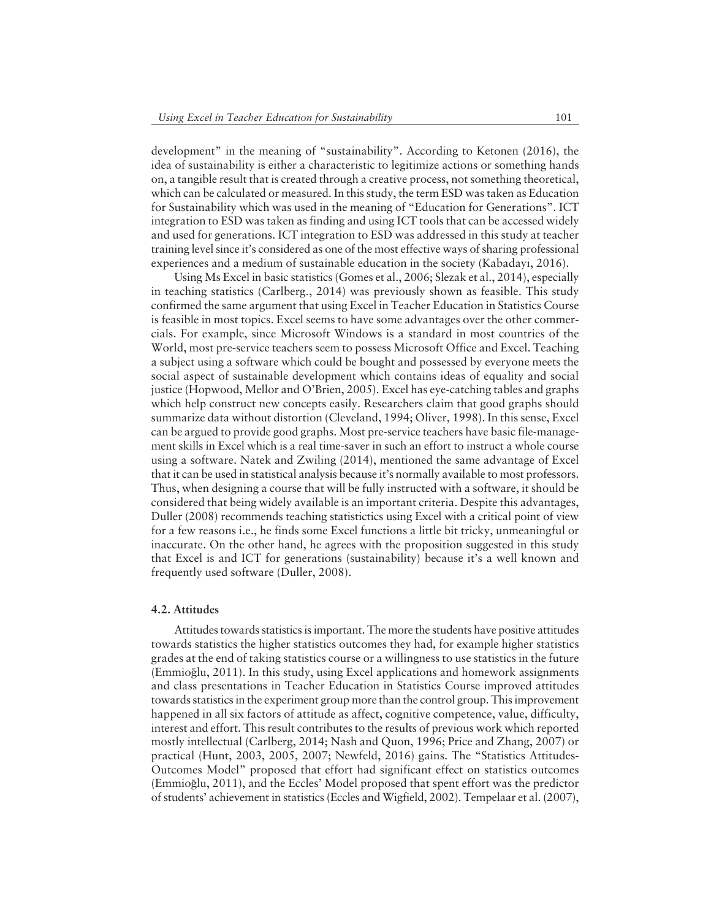development" in the meaning of "sustainability". According to Ketonen (2016), the idea of sustainability is either a characteristic to legitimize actions or something hands on, a tangible result that is created through a creative process, not something theoretical, which can be calculated or measured. In this study, the term ESD was taken as Education for Sustainability which was used in the meaning of "Education for Generations". ICT integration to ESD was taken as finding and using ICT tools that can be accessed widely and used for generations. ICT integration to ESD was addressed in this study at teacher training level since it's considered as one of the most effective ways of sharing professional experiences and a medium of sustainable education in the society (Kabadayi, 2016).

Using Ms Excel in basic statistics (Gomes et al., 2006; Slezak et al., 2014), especially in teaching statistics (Carlberg., 2014) was previously shown as feasible. This study confirmed the same argument that using Excel in Teacher Education in Statistics Course is feasible in most topics. Excel seems to have some advantages over the other commercials. For example, since Microsoft Windows is a standard in most countries of the World, most pre-service teachers seem to possess Microsoft Office and Excel. Teaching a subject using a software which could be bought and possessed by everyone meets the social aspect of sustainable development which contains ideas of equality and social justice (Hopwood, Mellor and O'Brien, 2005). Excel has eye-catching tables and graphs which help construct new concepts easily. Researchers claim that good graphs should summarize data without distortion (Cleveland, 1994; Oliver, 1998). In this sense, Excel can be argued to provide good graphs. Most pre-service teachers have basic file-management skills in Excel which is a real time-saver in such an effort to instruct a whole course using a software. Natek and Zwiling (2014), mentioned the same advantage of Excel that it can be used in statistical analysis because it's normally available to most professors. Thus, when designing a course that will be fully instructed with a software, it should be considered that being widely available is an important criteria. Despite this advantages, Duller (2008) recommends teaching statistictics using Excel with a critical point of view for a few reasons i.e., he finds some Excel functions a little bit tricky, unmeaningful or inaccurate. On the other hand, he agrees with the proposition suggested in this study that Excel is and ICT for generations (sustainability) because it's a well known and frequently used software (Duller, 2008).

#### **4.2. Attitudes**

Attitudes towards statistics is important. The more the students have positive attitudes towards statistics the higher statistics outcomes they had, for example higher statistics grades at the end of taking statistics course or a willingness to use statistics in the future (Emmioğlu, 2011). In this study, using Excel applications and homework assignments and class presentations in Teacher Education in Statistics Course improved attitudes towards statistics in the experiment group more than the control group. This improvement happened in all six factors of attitude as affect, cognitive competence, value, difficulty, interest and effort. This result contributes to the results of previous work which reported mostly intellectual (Carlberg, 2014; Nash and Quon, 1996; Price and Zhang, 2007) or practical (Hunt, 2003, 2005, 2007; Newfeld, 2016) gains. The "Statistics Attitudes-Outcomes Modelî proposed that effort had significant effect on statistics outcomes (Emmioğlu, 2011), and the Eccles' Model proposed that spent effort was the predictor of studentsí achievement in statistics (Eccles and Wigfield, 2002). Tempelaar et al. (2007),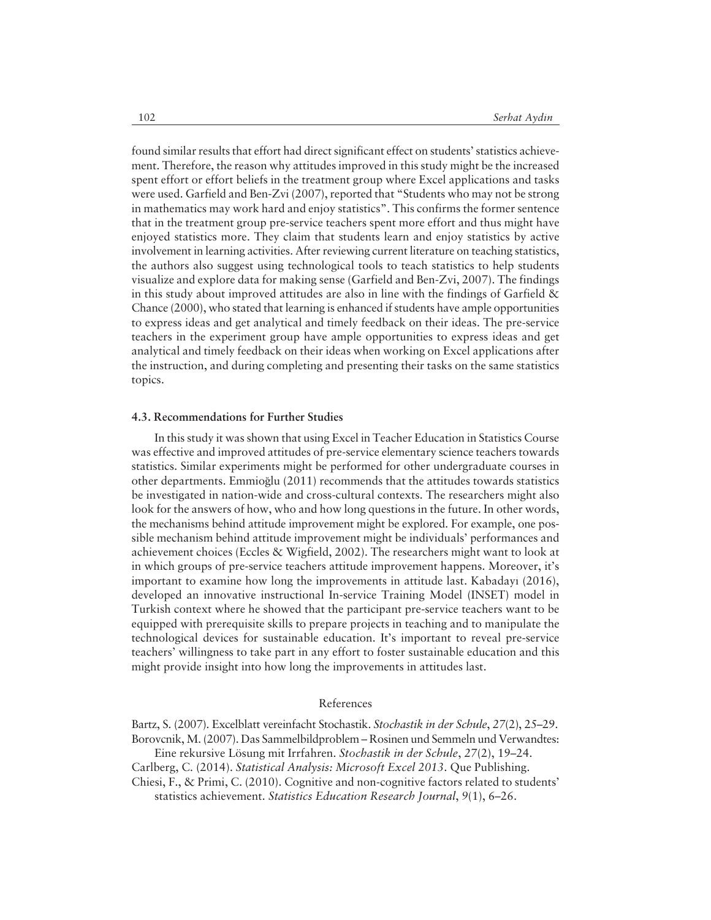found similar results that effort had direct significant effect on students' statistics achievement. Therefore, the reason why attitudes improved in this study might be the increased spent effort or effort beliefs in the treatment group where Excel applications and tasks were used. Garfield and Ben-Zvi (2007), reported that "Students who may not be strong in mathematics may work hard and enjoy statistics". This confirms the former sentence that in the treatment group pre-service teachers spent more effort and thus might have enjoyed statistics more. They claim that students learn and enjoy statistics by active involvement in learning activities. After reviewing current literature on teaching statistics, the authors also suggest using technological tools to teach statistics to help students visualize and explore data for making sense (Garfield and Ben-Zvi, 2007). The findings in this study about improved attitudes are also in line with the findings of Garfield  $\&$ Chance (2000), who stated that learning is enhanced if students have ample opportunities to express ideas and get analytical and timely feedback on their ideas. The pre-service teachers in the experiment group have ample opportunities to express ideas and get analytical and timely feedback on their ideas when working on Excel applications after the instruction, and during completing and presenting their tasks on the same statistics topics.

#### **4.3. Recommendations for Further Studies**

In this study it was shown that using Excel in Teacher Education in Statistics Course was effective and improved attitudes of pre-service elementary science teachers towards statistics. Similar experiments might be performed for other undergraduate courses in other departments. Emmioğlu (2011) recommends that the attitudes towards statistics be investigated in nation-wide and cross-cultural contexts. The researchers might also look for the answers of how, who and how long questions in the future. In other words, the mechanisms behind attitude improvement might be explored. For example, one possible mechanism behind attitude improvement might be individuals' performances and achievement choices (Eccles & Wigfield, 2002). The researchers might want to look at in which groups of pre-service teachers attitude improvement happens. Moreover, it's im when groups of pre service teachers attitude improvement nappens. Worldver, it's<br>important to examine how long the improvements in attitude last. Kabadayi (2016), developed an innovative instructional In-service Training Model (INSET) model in Turkish context where he showed that the participant pre-service teachers want to be equipped with prerequisite skills to prepare projects in teaching and to manipulate the technological devices for sustainable education. Itís important to reveal pre-service teachersí willingness to take part in any effort to foster sustainable education and this might provide insight into how long the improvements in attitudes last.

#### References

Bartz, S. (2007). Excelblatt vereinfacht Stochastik. *Stochastik in der Schule*, 27(2), 25–29. Borovcnik, M. (2007). Das Sammelbildproblem – Rosinen und Semmeln und Verwandtes: Eine rekursive Lösung mit Irrfahren. *Stochastik in der Schule*, 27(2), 19-24.

Carlberg, C. (2014). *Statistical Analysis: Microsoft Excel 2013*. Que Publishing.

Chiesi, F., & Primi, C. (2010). Cognitive and non-cognitive factors related to students' statistics achievement. *Statistics Education Research Journal*, 9(1), 6-26.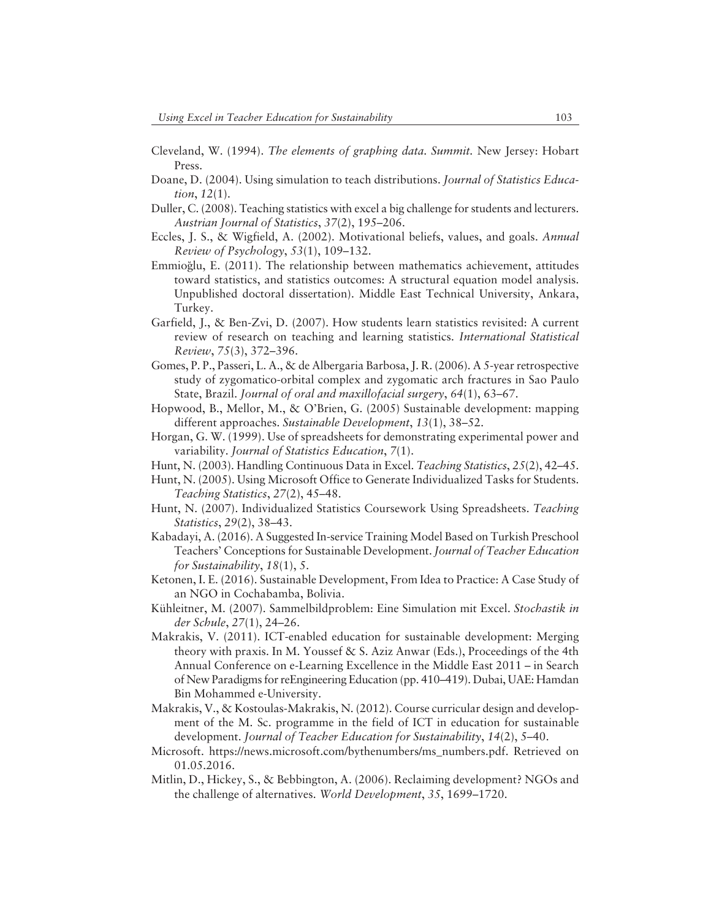- Cleveland, W. (1994). *The elements of graphing data. Summit.* New Jersey: Hobart Press.
- Doane, D. (2004). Using simulation to teach distributions. *Journal of Statistics Education*, *12*(1).
- Duller, C. (2008). Teaching statistics with excel a big challenge for students and lecturers. *Austrian Journal of Statistics*, 37(2), 195-206.
- Eccles, J. S., & Wigfield, A. (2002). Motivational beliefs, values, and goals. *Annual Review of Psychology*, 53(1), 109–132.
- Emmioğlu, E. (2011). The relationship between mathematics achievement, attitudes toward statistics, and statistics outcomes: A structural equation model analysis. Unpublished doctoral dissertation). Middle East Technical University, Ankara, Turkey.
- Garfield, J., & Ben-Zvi, D. (2007). How students learn statistics revisited: A current review of research on teaching and learning statistics. *International Statistical Review*, 75(3), 372–396.
- Gomes, P. P., Passeri, L. A., & de Albergaria Barbosa, J. R. (2006). A 5-year retrospective study of zygomatico-orbital complex and zygomatic arch fractures in Sao Paulo State, Brazil. *Journal of oral and maxillofacial surgery*, 64(1), 63-67.
- Hopwood, B., Mellor, M., & OíBrien, G. (2005) Sustainable development: mapping different approaches. *Sustainable Development*, 13(1), 38–52.
- Horgan, G. W. (1999). Use of spreadsheets for demonstrating experimental power and variability. *Journal of Statistics Education*, *7*(1).
- Hunt, N. (2003). Handling Continuous Data in Excel. *Teaching Statistics*, 25(2), 42–45.
- Hunt, N. (2005). Using Microsoft Office to Generate Individualized Tasks for Students. *Teaching Statistics*, 27(2), 45–48.
- Hunt, N. (2007). Individualized Statistics Coursework Using Spreadsheets. *Teaching Statistics*, 29(2), 38-43.
- Kabadayi, A. (2016). A Suggested In-service Training Model Based on Turkish Preschool Teachersí Conceptions for Sustainable Development. *Journal of Teacher Education for Sustainability*, *18*(1), 5.
- Ketonen, I. E. (2016). Sustainable Development, From Idea to Practice: A Case Study of an NGO in Cochabamba, Bolivia.
- Kühleitner, M. (2007). Sammelbildproblem: Eine Simulation mit Excel. *Stochastik in der Schule*, 27(1), 24–26.
- Makrakis, V. (2011). ICT-enabled education for sustainable development: Merging theory with praxis. In M. Youssef & S. Aziz Anwar (Eds.), Proceedings of the 4th Annual Conference on e-Learning Excellence in the Middle East 2011 – in Search of New Paradigms for reEngineering Education (pp. 410–419). Dubai, UAE: Hamdan Bin Mohammed e-University.
- Makrakis, V., & Kostoulas-Makrakis, N. (2012). Course curricular design and development of the M. Sc. programme in the field of ICT in education for sustainable development. *Journal of Teacher Education for Sustainability*, 14(2), 5-40.
- Microsoft. https://news.microsoft.com/bythenumbers/ms\_numbers.pdf. Retrieved on 01.05.2016.
- Mitlin, D., Hickey, S., & Bebbington, A. (2006). Reclaiming development? NGOs and the challenge of alternatives. *World Development*, 35, 1699–1720.